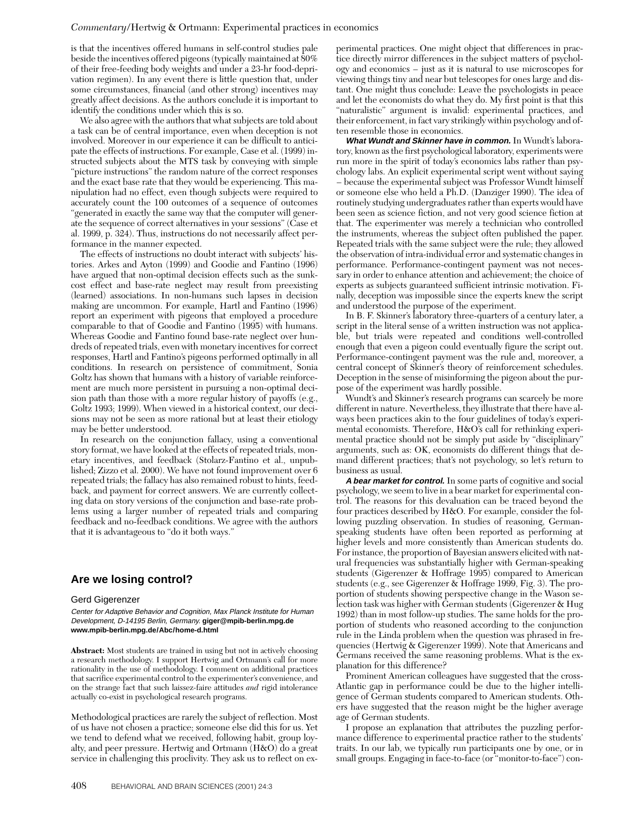is that the incentives offered humans in self-control studies pale beside the incentives offered pigeons (typically maintained at 80% of their free-feeding body weights and under a 23-hr food-deprivation regimen). In any event there is little question that, under some circumstances, financial (and other strong) incentives may greatly affect decisions. As the authors conclude it is important to identify the conditions under which this is so.

We also agree with the authors that what subjects are told about a task can be of central importance, even when deception is not involved. Moreover in our experience it can be difficult to anticipate the effects of instructions. For example, Case et al. (1999) instructed subjects about the MTS task by conveying with simple "picture instructions" the random nature of the correct responses and the exact base rate that they would be experiencing. This manipulation had no effect, even though subjects were required to accurately count the 100 outcomes of a sequence of outcomes "generated in exactly the same way that the computer will generate the sequence of correct alternatives in your sessions" (Case et al. 1999, p. 324). Thus, instructions do not necessarily affect performance in the manner expected.

The effects of instructions no doubt interact with subjects' histories. Arkes and Ayton (1999) and Goodie and Fantino (1996) have argued that non-optimal decision effects such as the sunkcost effect and base-rate neglect may result from preexisting (learned) associations. In non-humans such lapses in decision making are uncommon. For example, Hartl and Fantino (1996) report an experiment with pigeons that employed a procedure comparable to that of Goodie and Fantino (1995) with humans. Whereas Goodie and Fantino found base-rate neglect over hundreds of repeated trials, even with monetary incentives for correct responses, Hartl and Fantino's pigeons performed optimally in all conditions. In research on persistence of commitment, Sonia Goltz has shown that humans with a history of variable reinforcement are much more persistent in pursuing a non-optimal decision path than those with a more regular history of payoffs (e.g., Goltz 1993; 1999). When viewed in a historical context, our decisions may not be seen as more rational but at least their etiology may be better understood.

In research on the conjunction fallacy, using a conventional story format, we have looked at the effects of repeated trials, monetary incentives, and feedback (Stolarz-Fantino et al., unpublished; Zizzo et al. 2000). We have not found improvement over 6 repeated trials; the fallacy has also remained robust to hints, feedback, and payment for correct answers. We are currently collecting data on story versions of the conjunction and base-rate problems using a larger number of repeated trials and comparing feedback and no-feedback conditions. We agree with the authors that it is advantageous to "do it both ways."

## **Are we losing control?**

## Gerd Gigerenzer

Center for Adaptive Behavior and Cognition, Max Planck Institute for Human Development, D-14195 Berlin, Germany. **giger@mpib-berlin.mpg.de www.mpib-berlin.mpg.de/Abc/home-d.html**

**Abstract:** Most students are trained in using but not in actively choosing a research methodology. I support Hertwig and Ortmann's call for more rationality in the use of methodology. I comment on additional practices that sacrifice experimental control to the experimenter's convenience, and on the strange fact that such laissez-faire attitudes *and* rigid intolerance actually co-exist in psychological research programs.

Methodological practices are rarely the subject of reflection. Most of us have not chosen a practice; someone else did this for us. Yet we tend to defend what we received, following habit, group loyalty, and peer pressure. Hertwig and Ortmann (H&O) do a great service in challenging this proclivity. They ask us to reflect on experimental practices. One might object that differences in practice directly mirror differences in the subject matters of psychology and economics – just as it is natural to use microscopes for viewing things tiny and near but telescopes for ones large and distant. One might thus conclude: Leave the psychologists in peace and let the economists do what they do. My first point is that this "naturalistic" argument is invalid: experimental practices, and their enforcement, in fact vary strikingly within psychology and often resemble those in economics.

**What Wundt and Skinner have in common.** In Wundt's laboratory, known as the first psychological laboratory, experiments were run more in the spirit of today's economics labs rather than psychology labs. An explicit experimental script went without saying – because the experimental subject was Professor Wundt himself or someone else who held a Ph.D. (Danziger 1990). The idea of routinely studying undergraduates rather than experts would have been seen as science fiction, and not very good science fiction at that. The experimenter was merely a technician who controlled the instruments, whereas the subject often published the paper. Repeated trials with the same subject were the rule; they allowed the observation of intra-individual error and systematic changes in performance. Performance-contingent payment was not necessary in order to enhance attention and achievement; the choice of experts as subjects guaranteed sufficient intrinsic motivation. Finally, deception was impossible since the experts knew the script and understood the purpose of the experiment.

In B. F. Skinner's laboratory three-quarters of a century later, a script in the literal sense of a written instruction was not applicable, but trials were repeated and conditions well-controlled enough that even a pigeon could eventually figure the script out. Performance-contingent payment was the rule and, moreover, a central concept of Skinner's theory of reinforcement schedules. Deception in the sense of misinforming the pigeon about the purpose of the experiment was hardly possible.

Wundt's and Skinner's research programs can scarcely be more different in nature. Nevertheless, they illustrate that there have always been practices akin to the four guidelines of today's experimental economists. Therefore, H&O's call for rethinking experimental practice should not be simply put aside by "disciplinary" arguments, such as: OK, economists do different things that demand different practices; that's not psychology, so let's return to business as usual.

**<sup>A</sup> bear market for control.** In some parts of cognitive and social psychology, we seem to live in a bear market for experimental control. The reasons for this devaluation can be traced beyond the four practices described by H&O. For example, consider the following puzzling observation. In studies of reasoning, Germanspeaking students have often been reported as performing at higher levels and more consistently than American students do. For instance, the proportion of Bayesian answers elicited with natural frequencies was substantially higher with German-speaking students (Gigerenzer & Hoffrage 1995) compared to American students (e.g., see Gigerenzer & Hoffrage 1999, Fig. 3). The proportion of students showing perspective change in the Wason selection task was higher with German students (Gigerenzer & Hug 1992) than in most follow-up studies. The same holds for the proportion of students who reasoned according to the conjunction rule in the Linda problem when the question was phrased in frequencies (Hertwig & Gigerenzer 1999). Note that Americans and Germans received the same reasoning problems. What is the explanation for this difference?

Prominent American colleagues have suggested that the cross-Atlantic gap in performance could be due to the higher intelligence of German students compared to American students. Others have suggested that the reason might be the higher average age of German students.

I propose an explanation that attributes the puzzling performance difference to experimental practice rather to the students' traits. In our lab, we typically run participants one by one, or in small groups. Engaging in face-to-face (or "monitor-to-face") con